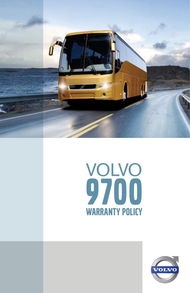



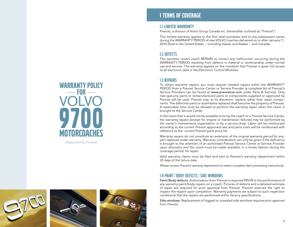





# 1 Terms of coverage

## 1.1 LIMITED WARRANTY

Prevost, a division of Volvo Group Canada Inc. (hereinafter outlined as "Prevost")

This limited warranty applies to the first retail purchaser and to any subsequent owner during the WARRANTY PERIOD of new VOLVO coaches delivered on or after January 1st, 2010 (Sold in the United States —including Hawaii and Alaska— and Canada).

## 1.2 DEFECTS

This warranty covers coach REPAIRS to correct any malfunction occurring during the WARRANTY PERIOD resulting from defects in material or workmanship under normal use and service. The warranty applies on the condition that Prevost is given full access to all electronic data in the Electronic Control Modules.

## 1.3 REPAIRS

To obtain warranty repairs, you must request needed repairs within the WARRANTY PERIOD from a Prevost Service Center or Service Provider (a complete list of Prevost's Service Providers can be found at www.prevostcar.com under Parts & Service). Only new genuine parts or remanufactured parts or components supplied or approved by Prevost will be used. Prevost may, at its discretion, replace rather than repair components. The defective parts or assemblies replaced shall become the property of Prevost. A reasonable time must be allowed to perform the warranty repair when the coach is brought to the Service Center.

In the event that it would not be possible to bring the coach to a Prevost Service Center, the warranty repairs (except for engine or transmission failures) may be performed by the owner's maintenance organization or by a service shop. Labor will be reimbursed according to the current Prevost approved rate and parts costs will be reimbursed with reference to the current Prevost parts price list.

Warranty repairs do not constitute an extension of the original warranty period for anypart replaced under warranty. Warranty consideration can only be given if the deficiency is brought to the attention of an authorized Prevost Service Center or Service Provider upon discovery and the coach must be made available, in a timely fashion during the coverage period, for repair.

Valid warranty claims must be filed and sent to Prevost's warranty department within 30 days of the failure date.

*(Please contact Prevost's warranty department to obtain complete claim processing instructions).*

## 1.4 PAINT / BODY DEFECTS / SIDE WINDOWS

Paint/Body defects: Authorization from Prevost is required PRIOR to the performance of any warranty paint/body repairs on a coach. Pictures of defects and a detailed estimate of repair are required for prior approval from Prevost. Prevost reserves the right to inspect the repairs upon completion. Warranty payments are subject to such inspection conditional that the repairs are performed within factory specifications.

Side windows: Replacement of fogged or unsealed side windows requires prior approval from Prevost.



(Supported by Prevost)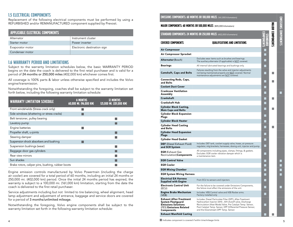# 1.5 ELECTRICAL COMPONENTS

Replacement of the following electrical components must be performed by using a REFURBISHED and/or REMANUFACTURED component supplied by Prevost.

| <b>APPLICABLE ELECTRICAL COMPONENTS</b> |                             |
|-----------------------------------------|-----------------------------|
| Alternator                              | Instrument cluster          |
| Starter motor                           | Power inverter              |
| Evaporator motor                        | Electronic destination sign |
| Condenser motor                         |                             |

## 1.6 WARRANTY PERIOD AND LIMITATIONS

Subject to the warranty limitation schedules below, the basic WARRANTY PERIOD begins on the date the coach is delivered to the first retail purchaser and is valid for a period of 24 months or 250,000 miles (402,000 km) whichever comes first.

All coverage is 100% parts & labor unless otherwise specified and includes the Volvo engine/transmission.

Notwithstanding the foregoing, coaches shall be subject to the warranty limitation set forth below, including the following warranty limitation schedule:

| <b>WARRANTY LIMITATION SCHEDULE</b>               | <b>6 MONTHS</b><br>60,000 MI. (96,000 KM) | 12 MONTHS<br>125,000 MI. (201,000 KM) |
|---------------------------------------------------|-------------------------------------------|---------------------------------------|
| Front windshields (Stress crack only)             |                                           |                                       |
| Side windows (shattering or stress cracks)        |                                           |                                       |
| Belt tensioner, pulley bearing                    |                                           |                                       |
| Lavatory pump                                     |                                           |                                       |
| Engine batteries                                  |                                           |                                       |
| Propeller shaft, u-joints                         |                                           |                                       |
| Steering damper                                   |                                           |                                       |
| Suspension shock absorbers and bushing            |                                           |                                       |
| Suspension bushings (wear)                        |                                           |                                       |
| Baggage door gas cylinders                        |                                           |                                       |
| Rear view mirrors                                 |                                           |                                       |
| Sun shades                                        |                                           |                                       |
| Brake rotors, caliper pins, bushing, rubber boots |                                           |                                       |

Engine emission controls manufactured by Volvo Powertrain (including the charge air cooler) are covered for a total period of 60 months, including an initial 24 months or 250,000 mi. (402,000 km) period. Once the initial 24 months period has expired, the warranty is subject to a 100,000 mi. (161,000 km) limitation, starting from the date the coach is delivered to the first retail purchaser.

Service adjustments including but not limited to tire balancing, wheel alignment, head lamp adjustment and adjustment of entrance, baggage and service doors are covered for a period of 3 months/unlimited mileage.

Notwithstanding the foregoing, Volvo engine components shall be subject to the warranty limitation set forth in the following warranty limitation schedule:

EMISSIONS COMPONENTS: 60 MONTHS OR 100,000 MILES (161,000 kilometers)

|                                                                                                                                   | LUMPUNENI ): OU MUNIN JUN (101,000 MILL) (161,000 kilometers)                                                                                                                                                                                                                                  |    |                        |                     |
|-----------------------------------------------------------------------------------------------------------------------------------|------------------------------------------------------------------------------------------------------------------------------------------------------------------------------------------------------------------------------------------------------------------------------------------------|----|------------------------|---------------------|
|                                                                                                                                   | <b>MAJOR COMPONENTS: 60 MONTHS OR 500,000 MILES</b> (805,000 kilometers)                                                                                                                                                                                                                       |    |                        | MISSIONS COMPONENTS |
|                                                                                                                                   | STANDARD COMPONENTS: 24 MONTHS OR 250,000 MILES (402,000 kilometers)                                                                                                                                                                                                                           |    | <b>AJOR COMPONENTS</b> |                     |
| <b>COVERED COMPONENTS</b>                                                                                                         | <b>OUALIFICATIONS AND LIMITATIONS</b>                                                                                                                                                                                                                                                          |    |                        |                     |
| <b>Air Compressor</b>                                                                                                             |                                                                                                                                                                                                                                                                                                |    |                        |                     |
| Air Compressor Sprocket                                                                                                           |                                                                                                                                                                                                                                                                                                |    |                        |                     |
| Alternator (Bosch)                                                                                                                | Excludes wear items such as brushes and bearings.<br>The auxiliary alternator (if applicable) is NOT covered.                                                                                                                                                                                  |    |                        |                     |
| Bearings                                                                                                                          | All internal lubricated bearings and bushings only.                                                                                                                                                                                                                                            |    |                        |                     |
| <b>Camshaft, Caps and Bolts</b>                                                                                                   | Failures resulting from the valve and injector adjustments<br>not being maintained properly are NOT covered. Normal<br>maintenance adjustments are NOT covered.                                                                                                                                |    |                        |                     |
| Connecting Rods, Caps,<br>and Bolts                                                                                               |                                                                                                                                                                                                                                                                                                |    |                        |                     |
| <b>Coolant Duct Cover</b>                                                                                                         |                                                                                                                                                                                                                                                                                                |    |                        |                     |
| <b>Crankcase Ventilation</b><br>Assembly                                                                                          |                                                                                                                                                                                                                                                                                                |    |                        |                     |
| Crankshaft                                                                                                                        |                                                                                                                                                                                                                                                                                                |    | ٠                      |                     |
| Crankshaft Hub                                                                                                                    |                                                                                                                                                                                                                                                                                                |    |                        |                     |
| Cylinder Block Casting,<br><b>Main Caps and Bolts</b>                                                                             |                                                                                                                                                                                                                                                                                                |    |                        |                     |
| <b>Cylinder Block Expansion</b><br>Plugs                                                                                          |                                                                                                                                                                                                                                                                                                |    |                        |                     |
| Cylinder Block Heater                                                                                                             |                                                                                                                                                                                                                                                                                                |    |                        |                     |
| <b>Cylinder Head Casting</b><br>and Bolts                                                                                         |                                                                                                                                                                                                                                                                                                |    | n a                    |                     |
| <b>Cylinder Head Expansion</b><br>Plugs                                                                                           |                                                                                                                                                                                                                                                                                                |    |                        |                     |
| Cylinder Head Gasket                                                                                                              |                                                                                                                                                                                                                                                                                                | ×. |                        |                     |
| <b>DEF</b> (Diesel Exhaust Fluid)<br>and SCR System                                                                               | Includes: DEF tank, coolant supply valve, hoses, air pressure<br>regulator, mtg brackets, harnesses, dosing unit, injector and pump.                                                                                                                                                           | ×. |                        |                     |
| <b>EGR</b> (Exhaust Gas<br>Recirculation) Components                                                                              | All components including pipes, clamps, fittings, & gaskets.<br>Excludes: EGR cooler vibration damper which is<br>a maintenance item.                                                                                                                                                          |    |                        |                     |
| <b>EGR Control Valve</b>                                                                                                          |                                                                                                                                                                                                                                                                                                |    |                        |                     |
| <b>EGR Cooler</b>                                                                                                                 |                                                                                                                                                                                                                                                                                                |    |                        |                     |
| <b>EGR Mixing Chamber</b>                                                                                                         |                                                                                                                                                                                                                                                                                                |    |                        |                     |
| <b>EGR System Wiring Harness</b>                                                                                                  |                                                                                                                                                                                                                                                                                                |    |                        |                     |
| <b>Electrical EA Harness</b><br>Supplied with Engine                                                                              | From ECU to sensors and injectors                                                                                                                                                                                                                                                              |    |                        |                     |
| <b>Electronic Control Unit</b><br>(ECU)                                                                                           | For the failure to be covered under Emissions Components,<br>the failure must affect the emissions of the unit.                                                                                                                                                                                |    |                        |                     |
| <b>Engine Brake Mechanism</b><br>(VEB)                                                                                            | Includes: VEB Control valve and VEB Rocker arms.<br>Factory installed only                                                                                                                                                                                                                     |    |                        |                     |
| <b>Exhaust After-Treatment</b><br>System Fleetguard<br><b>Emissions Solutions</b><br>(FES) <b>Emissions Related</b><br>Components | Includes: Diesel Particulate Filter (DPF), After-Treatment<br>Hydrocarbon Injector (AHI), AHI shutoff valve, Discharge<br>Recirculation (Heat Mode) Valve, Pre Catalyst Temp. Sensor,<br>Post Catalyst Temp. Sensor, DPF Differential Pressure Sensor,<br>and the Downstream DPF Temp. Sensor. |    |                        |                     |
| <b>Exhaust Manifold Casting</b>                                                                                                   |                                                                                                                                                                                                                                                                                                |    |                        |                     |

*Indicates co mponent is covered if within time/mileage limits*

**PA** 

4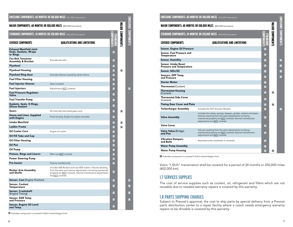| EMISSIONS COMPONENTS: 60 MONTHS OR 100,000 MILES (161,000 kilometers)       |                                                                                                                                                                                                                     |     |                         |                             |
|-----------------------------------------------------------------------------|---------------------------------------------------------------------------------------------------------------------------------------------------------------------------------------------------------------------|-----|-------------------------|-----------------------------|
| <b>MAJOR COMPONENTS: 60 MONTHS OR 500,000 MILES (805,000 kilometers)</b>    |                                                                                                                                                                                                                     |     |                         | <b>EXISSIONS CONPORENTS</b> |
| <b>STANDARD COMPONENTS: 24 MONTHS OR 250,000 MILES (402,000 kilometers)</b> |                                                                                                                                                                                                                     |     | <b>MAJOR COMPONENTS</b> |                             |
| <b>COVERED COMPONENTS</b>                                                   | <b>QUALIFICATIONS AND LIMITATIONS</b>                                                                                                                                                                               |     |                         |                             |
| <b>Exhaust Manifold Joint</b><br>Seals, Gaskets, Wraps<br>or Rings          |                                                                                                                                                                                                                     |     |                         |                             |
| <b>Fan Belt Tensioner</b><br><b>Assembly &amp; Bracket</b>                  | Excludes fan belt.                                                                                                                                                                                                  |     |                         |                             |
| <b>Flywheel</b>                                                             |                                                                                                                                                                                                                     |     |                         |                             |
| <b>Flywheel Housing</b>                                                     |                                                                                                                                                                                                                     | m,  |                         |                             |
| <b>Flywheel Ring Gear</b>                                                   | Excludes failures caused by starter failure.                                                                                                                                                                        | ┓   |                         |                             |
| <b>Fuel Filter Housing</b>                                                  |                                                                                                                                                                                                                     | ┓   |                         |                             |
| <b>Fuel Injector Sleeves</b>                                                | Seals included.                                                                                                                                                                                                     | Ξ   |                         |                             |
| <b>Fuel Injectors</b>                                                       | Adjustments NOT covered.                                                                                                                                                                                            |     |                         |                             |
| <b>Fuel Pressure Regulator</b><br>Valve                                     |                                                                                                                                                                                                                     |     |                         |                             |
| <b>Fuel Transfer Pump</b>                                                   |                                                                                                                                                                                                                     |     |                         |                             |
| Gaskets, Seals, O Rings,<br><b>Silicon Sealant</b>                          |                                                                                                                                                                                                                     |     |                         |                             |
| Gears                                                                       | All internally lubricated gears only.                                                                                                                                                                               |     |                         |                             |
| <b>Hoses and Lines, Supplied</b><br>with Engine                             | Fluid carrying. Engine to engine mounted.                                                                                                                                                                           |     |                         |                             |
| <b>Intake Manifold</b>                                                      |                                                                                                                                                                                                                     |     | <b>CONTRACTOR</b>       |                             |
| <b>Ladder Frame</b>                                                         |                                                                                                                                                                                                                     |     |                         |                             |
| <b>Oil Cooler Core</b>                                                      | Engine oil cooler.                                                                                                                                                                                                  |     |                         |                             |
| Oil Fill Tube and Cap                                                       |                                                                                                                                                                                                                     |     |                         |                             |
| Oil Filter Housing                                                          |                                                                                                                                                                                                                     |     |                         |                             |
| Oil Pan                                                                     |                                                                                                                                                                                                                     |     |                         |                             |
| Oil Pump                                                                    |                                                                                                                                                                                                                     |     |                         |                             |
| Pistons, Rings and Linersr                                                  | Wear out NOT covered.                                                                                                                                                                                               |     |                         |                             |
| <b>Power Steering Pump</b>                                                  |                                                                                                                                                                                                                     |     |                         |                             |
| Pre-heater                                                                  | Factory installed only.                                                                                                                                                                                             | ┓   |                         |                             |
| <b>Rocker Arm Assembly</b><br>and Shafts                                    | Includes VEB Rockers and non-VEB rockers. Failures resulting<br>from the valve and injector adjustments not being maintained<br>properly are <b>NOT</b> covered. Normal maintenance adjustments<br>are NOT covered. | . I |                         |                             |
| Sensor, Cam (Engine Position)                                               |                                                                                                                                                                                                                     | ш   |                         |                             |
| Sensor, Coolant<br>Temperature                                              |                                                                                                                                                                                                                     | ×.  |                         |                             |
| Sensor, Crankshaft<br>(Engine Timing)                                       |                                                                                                                                                                                                                     | ×.  |                         |                             |
| Sensor, EGR Temp.<br>and Pressure                                           |                                                                                                                                                                                                                     |     |                         |                             |
| Sensor, Engine Oil Level<br>and Temp.                                       |                                                                                                                                                                                                                     |     |                         |                             |

| LUMPUNENI): UU MUNIN SU MUU,UUU MILL) (161,000 kilometers) (UNPUNENI) LUMPUNENI |                                                                                                                                                                                                                          |    |                           |                             |
|---------------------------------------------------------------------------------|--------------------------------------------------------------------------------------------------------------------------------------------------------------------------------------------------------------------------|----|---------------------------|-----------------------------|
| <b>MAJOR COMPONENTS: 60 MONTHS OR 500.000 MILES</b> (805.000 kilometers)        |                                                                                                                                                                                                                          |    |                           |                             |
|                                                                                 | STANDARD COMPONENTS: 24 MONTHS OR 250,000 MILES (402,000 kilometers)                                                                                                                                                     |    | <b>NATION COMPONERITS</b> | <b>EMISSIONS COMPONENTS</b> |
| <b>COVERED COMPONENTS</b>                                                       | QUALIFICATIONS AND LIMITATIONS                                                                                                                                                                                           |    |                           |                             |
| <b>Sensor, Engine Oil Pressure</b>                                              |                                                                                                                                                                                                                          |    |                           |                             |
| Sensor, Fuel Pressure and<br>Temperature                                        |                                                                                                                                                                                                                          |    |                           |                             |
| <b>Sensor, Humidity</b>                                                         |                                                                                                                                                                                                                          |    |                           |                             |
| Sensor, Intake Boost<br><b>Pressure and Temperature</b>                         |                                                                                                                                                                                                                          |    |                           |                             |
| Sensor, NOx/02                                                                  |                                                                                                                                                                                                                          |    |                           |                             |
| Sensors, DPF Temp.<br>and Pressure                                              |                                                                                                                                                                                                                          |    |                           |                             |
| <b>Starter Motor</b>                                                            |                                                                                                                                                                                                                          |    |                           |                             |
| <b>Thermostat</b> (Coolant)                                                     |                                                                                                                                                                                                                          | ×. |                           |                             |
| <b>Thermostat Housing</b><br>(Coolant)                                          |                                                                                                                                                                                                                          |    |                           |                             |
| <b>Thermostat Side Cover</b><br>(Coolant)                                       |                                                                                                                                                                                                                          |    |                           |                             |
| <b>Timing Gear Cover and Plate</b>                                              |                                                                                                                                                                                                                          |    |                           |                             |
| <b>Turbocharger Assembly</b>                                                    | Includes the VGT Actuator Module.                                                                                                                                                                                        | ×. |                           |                             |
| <b>Valve Assembly</b>                                                           | Includes the valves, springs, keepers, guides, rotators and seats.<br>Failures resulting from the valve adjustments not being<br>maintained properly are NOT covered. Normal maintenance<br>adjustments are NOT covered. |    |                           |                             |
| Valve Cover                                                                     |                                                                                                                                                                                                                          |    |                           |                             |
| Valve Yokes (Bridge)<br>and Pins                                                | Failures resulting from the valve adjustments not being<br>maintained properly are NOT covered. Normal maintenance<br>adjustments are NOT covered.                                                                       |    |                           |                             |
| <b>Vibration Dampers</b><br>and Bolts                                           | Attached to the crankshaft or camshaft.                                                                                                                                                                                  |    |                           |                             |
| <b>Water Pump Assembly</b>                                                      |                                                                                                                                                                                                                          |    |                           |                             |
| <b>Water Pump Housing</b>                                                       |                                                                                                                                                                                                                          |    |                           |                             |

*Indicates component is covered if within time/mileage limits*

EMISSIONS COMPONENTS: 60 Months or 100,000 miles (161,000 kilometers)

Volvo "I-Shift" transmission shall be covered for a period of 24 months or 250,000 miles (402,000 km).

### 1.7 SERVICES SUPPLIES

The cost of service supplies such as coolant, oil, refrigerant and filters which are not reusable due to needed warranty repairs is covered by this warranty.

## 1.8 PARTS SHIPPING CHARGES

Subject to Prevost's approval, the cost to ship parts by special delivery from a Prevost parts distribution center to a repair facility where a coach needs emergency warranty repairs to be drivable is covered by this warranty.

*Indicates component is covered if within time/mileage limits*

**Tara**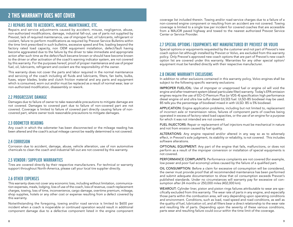# 2.1 REPAIRS DUE TO ACCIDENTS, MISUSE, MAINTENANCE, ETC.

Repairs and service adjustments caused by accident, misuse, negligence, abuse, non-authorized modifications, damage, industrial fall-out, use of parts not supplied by Prevost, lack of required maintenance, use of improper fuel, oil lubricants, refrigerant or coolant, failure to perform modifications as required by Prevost Service Bulletins within the time limit prescribed in such bulletins, excessive speed and fire, loading beyond the factory rated load capacity, non OEM equipment installation, defect/fault having become aggravated due to the failure by the driver to take immediate and appropriate action after such time as the defect/fault became known or should have become known to the driver or after activation of the coach's warning indicator system, are not covered by this warranty. For the purposes hereof, proof of proper maintenance and use of proper fuel, oil, lubricants, refrigerant and coolant are the responsibility of the owner.

This warranty does not cover the parts and labor required in the normal maintenance and servicing of the coach including all fluids and lubricants, filters, fan belts, bulbs, fuses, wiper blades, brake and clutch friction material and any parts and equipment which is consumed, worn out and/or must be replaced as a result of normal wear, tear or non-authorized modification, disassembly or rework.

## 2.2 PROGRESSIVE DAMAGE

Damages due to failure of owner to take reasonable precautions to mitigate damage are not covered. Damages to covered part due to failure of non-covered part are not covered. Coverage is limited to failure of covered part directly causing failure of noncovered part, where owner took reasonable precautions to mitigate damages.

## 2.3 ODOMETER READING

Any coach in which the odometer has been disconnected or the mileage reading has been altered and the coach's actual mileage cannot be readily determined is not covered.

## 2.4 CORROSION

Corrosion due to accident, damage, abuse, vehicle alteration, use of non automotive chemicals to clean the coach and industrial fall-out are not covered by this warranty.

## 2.5 VENDOR / SUPPLIER WARRANTIES

Tires are covered directly by their respective manufacturers. For technical or warranty support throughout North-America, please call your local tire supplier directly.

## 2.6 OTHER EXPENSES

This warranty does not cover any economic loss, including without limitation, communication expenses, meals, lodging, loss of use of the coach, loss of revenue, coach replacement charges, towing, loss of time, inconvenience, cargo damage, overtime premium, mileage, shop supplies, hotels or any other cost or expense resulting from a defect covered by this warranty.

Notwithstanding the foregoing, towing and/or road service is limited to \$600 per incident when a coach is inoperable or continued operation would result in additional component damage due to a defective component listed in the engine component coverage list included therein. Towing and/or road service charges due to a failure of a non-covered engine component or resulting from an accident are not covered. Towing coverage is limited to a single tow per incident for covered coaches that are accessible from a MAJOR paved highway and towed to the nearest authorized Prevost Service Center or Service Provider.

# 2.7 SPECIAL OPTIONS / EQUIPMENTS NOT MANUFACTURED BY PREVOST OR VOLVO

Special options or equipments requested by the customer and not part of Prevost's new coach option list although installed by Prevost or Volvo, are excluded from this warranty policy. Only Prevost's approved new coach options that are part of Prevost's new coach option list are covered under this warranty. Warranties for any other special option/ equipment must be handled directly with their respective manufacturer.

## 2.8 ENGINE WARRANTY EXCLUSIONS

In addition to other exclusions contained in this warranty policy, Volvo engines shall be subject to the following specific warranty exclusions:

IMPROPER FUEL/OIL: Use of improper or unapproved fuel or engine oil will void the engine and after treatment system (diesel particulate filter) warranty. Today's EPA emission engines require the use of EO-O Premium Plus (or VDS-4) specification high performance diesel engine oil and ultra low sulfur diesel (ULSD) fuel. ULSD-B5 biodiesel may be used. B5 tells you the percentage of biodiesel mixed in with ULSD. B5 is 5% biodiesel.

APPLICATION: Engine application problems, including but not limited to, replacement of incorrect axle or transmission ratios, failures of component parts of coaches being operated in excess of factory rated load capacities, or the use of an engine for a purpose for which it was not intended are not covered.

FUEL INJECTORS: Repair or replacement of fuel injectors must be mechanical in nature and not from erosion caused by fuel quality.

ALTERATIONS: Any engine repaired and/or altered in any way so as to adversely effect, in Prevost's sole judgment, its stability or reliability, is not covered. This includes software alterations.

OPTIONAL EQUIPMENT: Any part of the engine that fails, malfunctions, or does not perform as a result of the improper conversion or installation of special equipments is not covered.

PERFORMANCE COMPLAINTS: Performance complaints are not covered (for example, low power and poor fuel economy) unless caused by the failure of a qualified part.

OIL CONSUMPTION: Before a claim for excessive oil consumption will be considered, the owner must provide proof that all recommended maintenance has been performed and submit adequate documentation to show that oil consumption exceeds Prevost's published standards. Under no circumstances will warranty pay for excessive oil consumption after 24 months or 250,000 miles (402,000 km).

WEAROUT: Cylinder liner, piston and piston rings failures attributable to wear are specifically excluded from this warranty. The wear rate of parts in any engine, and especially those parts within the combustion area, will vary depending upon operating conditions and environment. Conditions, such as load, road speed and road conditions, as well as the quality of fuel, lubrication oil, and all filters bear a direct relationship to the wear rate and resulting life of parts. Depending upon the severity of these various conditions, parts wear and resulting failure could occur within the time limit of the coverage.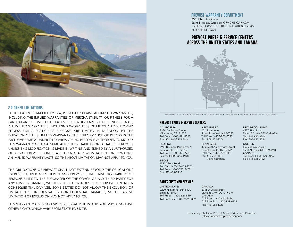

## 2.9 OTHER LIMITATIONS

TO THE EXTENT PERMITTED BY LAW, PREVOST DISCLAIMS ALL IMPLIED WARRANTIES, INCLUDING THE IMPLIED WARRANTIES OF MERCHANTABILITY OR FITNESS FOR A PARTICULAR PURPOSE. TO THE EXTENT SUCH A DISCLAIMER IS NOT ENFORCEABLE, ALL IMPLIED WARRANTIES, INCLUDING WARRANTIES OF MERCHANTABILITY AND FITNESS FOR A PARTICULAR PURPOSE, ARE LIMITED IN DURATION TO THE DURATION OF THIS LIMITED WARRANTY. THE PERFORMANCE OF REPAIRS IS THE EXCLUSIVE REMEDY UNDER THIS WARRANTY. NO PERSON IS AUTHORIZED TO MODIFY THIS WARRANTY OR TO ASSUME ANY OTHER LIABILITY ON BEHALF OF PREVOST UNLESS THIS MODIFICATION IS MADE IN WRITING AND SIGNED BY AN AUTHORIZED OFFICER OF PREVOST. SOME STATES DO NOT ALLOW LIMITATIONS ON HOW LONG AN IMPLIED WARRANTY LASTS, SO THE ABOVE LIMITATION MAY NOT APPLY TO YOU.

THE OBLIGATIONS OF PREVOST SHALL NOT EXTEND BEYOND THE OBLIGATIONS EXPRESSLY UNDERTAKEN HEREIN AND PREVOST SHALL HAVE NO LIABILITY OF RESPONSIBILITY TO THE PURCHASER OF THE COACH OR ANY THIRD PARTY FOR ANY LOSS OR DAMAGE, WHETHER DIRECT OR INDIRECT OR FOR INCIDENTAL OR CONSEQUENTIAL DAMAGE. SOME STATES DO NOT ALLOW THE EXCLUSION OR LIMITATION OF INCIDENTAL OR CONSEQUENTIAL DAMAGES, SO THE ABOVE LIMITATION OR EXCLUSION MAY NOT APPLY TO YOU.

THIS WARRANTY GIVES YOU SPECIFIC LEGAL RIGHTS AND YOU MAY ALSO HAVE OTHER RIGHTS WHICH VARY FROM STATE TO STATE.

### Prevost Warranty Department

850, Chemin Olivier Saint-Nicolas, Quebec G7A 2N1 CANADA Toll Free: 1-866-870-2046 • Tel.: 418-831-2046 Fax: 418-831-9301

# PREVOST PARTS & SERVICE CENTERS ACROSS THE UNITED STATES AND CANADA



BRITISH COLUMBIA • CALIFORNIA • TEXAS • ILLINOIS • TENNESSEE • FLORIDA • NEW JERSEY • QUEBEC

### PREVOST PARTS & SERVICE CENTERS

#### CALIFORNIA 3384 De Forest Circle Mira Loma, CA 91752

Toll Free: 1-800-421-9958 Fax: 951-360-2565 Parts

#### FLORIDA

6931 Business Park Blvd. N. Jacksonville, FL 32256 Toll Free: 1-800-874-7740 Fax: 904-886-0093 Parts

### **TEXAS**

15200 Frye Road Fort Worth, TX 76155-2702 Toll Free: 1-866-773-8678 Fax: 817-685-0460

### PARTS CUSTOMER SERVICE

UNITED STATES 2200 Point Blvd, Suite 100 Elgin, IL 60123 Toll Free: 1-800-621-5519 Toll Free Fax: 1-877-999-8809

#### NEW JERSEY 201 South Ave. South Plainfield, NJ 07080 Toll Free: 1-800-223-0830 Fax: 908-222-7304

TENNESSEE 800 South Cartwright Street Goodlettsville, TN 37072 Toll Free: 1-877-299-8881 Fax: 615-299-8816

Administration

### BRITISH COLUMBIA

6537 River Road Delta, BC V4K 5B9 CANADA Tel.: 604-940-3306 Fax: 604-940-3384

### QUEBEC

850 chemin Olivier Saint-Nicolas, QC G7A 2N1 CANADA Toll Free: 1-866-870-2046 Fax: 418-831-7432

2955-A Watt Street Quebec City, QC G1X 3W1 CANADA Toll Free: 1-800-463-8876 Toll Free Fax: 1-800-939-0133 Fax: 418-658-1723

CANADA

For a complete list of Prevost Approved Service Providers, please visit www.prevostcar.com